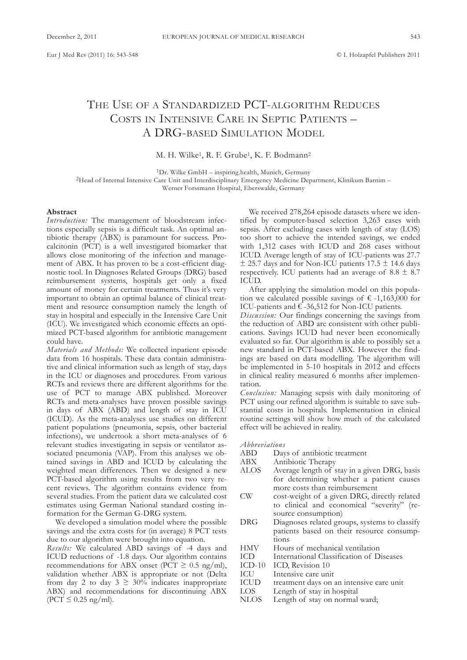# THE USE OF A STANDARDIZED PCT-ALGORITHM REDUCES COSTS IN INTENSIVE CARE IN SEPTIC PATIENTS a dRg-basEd sIMUlaTIon ModEl

M. H. Wilke<sup>1</sup>, R. F. Grube<sup>1</sup>, K. F. Bodmann<sup>2</sup>

 $1Dr.$  Wilke GmbH – inspiring.health, Munich, Germany

<sup>2</sup>Head of Internal Intensive Care Unit and Interdisciplinary Emergency Medicine Department, Klinikum Barnim -

Werner Forssmann Hospital, Eberswalde, Germany

#### **Abstract**

*Introduction:* The management of bloodstream infections especially sepsis is a difficult task. An optimal antibiotic therapy (ABX) is paramount for success. Procalcitonin (PCT) is a well investigated biomarker that allows close monitoring of the infection and management of abX. It has proven to be a cost-efficient diagnostic tool. In Diagnoses Related Groups (DRG) based reimbursement systems, hospitals get only a fixed amount of money for certain treatments. Thus it's very important to obtain an optimal balance of clinical treatment and resource consumption namely the length of stay in hospital and especially in the Intensive Care Unit (ICU). We investigated which economic effects an optimized PCT-based algorithm for antibiotic management could have.

*Materials and Methods:* We collected inpatient episode data from 16 hospitals. These data contain administrative and clinical information such as length of stay, days in the ICU or diagnoses and procedures. from various RCTs and reviews there are different algorithms for the use of PCT to manage ABX published. Moreover RCTs and meta-analyses have proven possible savings in days of ABX (ABD) and length of stay in ICU (ICUD). As the meta-analyses use studies on different patient populations (pneumonia, sepsis, other bacterial infections), we undertook a short meta-analyses of 6 relevant studies investigating in sepsis or ventilator associated pneumonia (VAP). From this analyses we obtained savings in ABD and ICUD by calculating the weighted mean differences. Then we designed a new PCT-based algorithm using results from two very recent reviews. The algorithm contains evidence from several studies. from the patient data we calculated cost estimates using German National standard costing information for the German G-DRG system.

We developed a simulation model where the possible savings and the extra costs for (in average) 8 PCT tests due to our algorithm were brought into equation.

Results: We calculated ABD savings of -4 days and ICUD reductions of -1.8 days. Our algorithm contains recommendations for ABX onset ( $\overline{PCT} \geq 0.5$  ng/ml), validation whether ABX is appropriate or not (Delta from day 2 to day  $3 \geq 30\%$  indicates inappropriate ABX) and recommendations for discontinuing ABX  $(PCT \le 0.25$  ng/ml).

We received 278,264 episode datasets where we identified by computer-based selection 3,263 cases with sepsis. After excluding cases with length of stay (LOS) too short to achieve the intended savings, we ended with 1,312 cases with ICUD and 268 cases without ICUD. Average length of stay of ICU-patients was 27.7  $\pm$  25.7 days and for Non-ICU patients 17.5  $\pm$  14.6 days respectively. ICU patients had an average of  $8.8 \pm 8.7$ **ICUD** 

After applying the simulation model on this population we calculated possible savings of  $\epsilon$  -1,163,000 for ICU-patients and  $\epsilon$ -36,512 for Non-ICU patients.

*Discussion:* Our findings concerning the savings from the reduction of ABD are consistent with other publications. Savings ICUD had never been economically evaluated so far. Our algorithm is able to possibly set a new standard in PCT-based abX. However the findings are based on data modelling. The algorithm will be implemented in 5-10 hospitals in 2012 and effects in clinical reality measured 6 months after implementation.

*Conclusion:* Managing sepsis with daily monitoring of PCT using our refined algorithm is suitable to save substantial costs in hospitals. Implementation in clinical routine settings will show how much of the calculated effect will be achieved in reality.

*Abbreviations*

- Days of antibiotic treatment
- ABX Antibiotic Therapy
- ALOS Average length of stay in a given DRG, basis for determining whether a patient causes more costs than reimbursement
- CW cost-weight of a given DRG, directly related to clinical and economical "severity" (resource consumption)
- DRG Diagnoses related groups, systems to classify patients based on their resource consumptions
- HMv Hours of mechanical ventilation

ICD International Classification of Diseases

- ICD-10 ICD, Revision 10
- ICU Intensive care unit
- ICUD treatment days on an intensive care unit
- LOS Length of stay in hospital
- NLOS Length of stay on normal ward;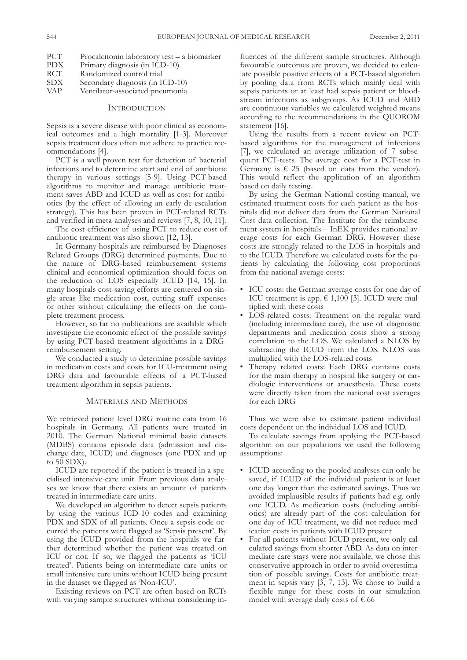- PCT Procalcitonin laboratory test a biomarker
- PDX Primary diagnosis (in ICD-10)<br>RCT Randomized control trial
- Randomized control trial
- SDX Secondary diagnosis (in ICD-10)<br>VAP Ventilator-associated pneumonia
- Ventilator-associated pneumonia

## **INTRODUCTION**

sepsis is a severe disease with poor clinical as economical outcomes and a high mortality [1-3]. Moreover sepsis treatment does often not adhere to practice recommendations [4].

PCT is a well proven test for detection of bacterial infections and to determine start and end of antibiotic therapy in various settings [5-9]. Using PCT-based algorithms to monitor and manage antibiotic treatment saves ABD and ICUD as well as cost for antibiotics (by the effect of allowing an early de-escalation strategy). This has been proven in PCT-related RCTs and verified in meta-analyses and reviews [7, 8, 10, 11].

The cost-efficiency of using PCT to reduce cost of antibiotic treatment was also shown [12, 13].

In Germany hospitals are reimbursed by Diagnoses Related Groups (DRG) determined payments. Due to the nature of DRG-based reimbursement systems clinical and economical optimization should focus on the reduction of LOS especially ICUD [14, 15]. In many hospitals cost-saving efforts are centered on single areas like medication cost, cutting staff expenses or other without calculating the effects on the complete treatment process.

However, so far no publications are available which investigate the economic effect of the possible savings by using PCT-based treatment algorithms in a DRGreimbursement setting.

We conducted a study to determine possible savings in medication costs and costs for ICU-treatment using DRG data and favourable effects of a PCT-based treatment algorithm in sepsis patients.

# MaTERIals and METHods

We retrieved patient level DRG routine data from 16 hospitals in Germany. All patients were treated in 2010. The German National minimal basic datasets (MDBS) contains episode data (admission and discharge date, ICUD) and diagnoses (one PDX and up to  $50$  SDX).

ICUD are reported if the patient is treated in a specialised intensive-care unit. from previous data analyses we know that there exists an amount of patients treated in intermediate care units.

We developed an algorithm to detect sepsis patients by using the various ICD-10 codes and examining PDX and SDX of all patients. Once a sepsis code occurred the patients were flagged as 'Sepsis present'. By using the ICUD provided from the hospitals we further determined whether the patient was treated on ICU or not. If so, we flagged the patients as 'ICU treated'. Patients being on intermediate care units or small intensive care units without ICUD being present in the dataset we flagged as 'Non-ICU'.

Existing reviews on PCT are often based on RCTs with varying sample structures without considering in-

fluences of the different sample structures. Although favourable outcomes are proven, we decided to calculate possible positive effects of a PCT-based algorithm by pooling data from RCTs which mainly deal with sepsis patients or at least had sepsis patient or bloodstream infections as subgroups. As ICUD and ABD are continuous variables we calculated weighted means according to the recommendations in the QUoRoM statement [16].

Using the results from a recent review on PCTbased algorithms for the management of infections [7], we calculated an average utilization of 7 subsequent PCT-tests. The average cost for a PCT-test in Germany is  $\epsilon$  25 (based on data from the vendor). This would reflect the application of an algorithm based on daily testing.

By using the German National costing manual, we estimated treatment costs for each patient as the hospitals did not deliver data from the German National Cost data collection. The Institute for the reimbursement system in hospitals – InEK provides national average costs for each German DRG. However these costs are strongly related to the LOS in hospitals and to the ICUD. Therefore we calculated costs for the patients by calculating the following cost proportions from the national average costs:

- ICU costs: the German average costs for one day of ICU treatment is app.  $\epsilon$  1,100 [3]. ICUD were multiplied with these costs
- LOS-related costs: Treatment on the regular ward (including intermediate care), the use of diagnostic departments and medication costs show a strong correlation to the LOS. We calculated a NLOS by subtracting the ICUD from the LOS. NLOS was multiplied with the LOS-related costs
- Therapy related costs: Each DRG contains costs for the main therapy in hospital like surgery or cardiologic interventions or anaesthesia. These costs were directly taken from the national cost averages for each DRG

Thus we were able to estimate patient individual costs dependent on the individual LOS and ICUD.

To calculate savings from applying the PCT-based algorithm on our populations we used the following assumptions:

- ICUD according to the pooled analyses can only be saved, if ICUD of the individual patient is at least one day longer than the estimated savings. Thus we avoided implausible results if patients had e.g. only one ICUD. As medication costs (including antibiotics) are already part of the cost calculation for one day of ICU treatment, we did not reduce medication costs in patients with ICUD present
- For all patients without ICUD present, we only calculated savings from shorter ABD. As data on intermediate care stays were not available, we chose this conservative approach in order to avoid overestimation of possible savings. Costs for antibiotic treatment in sepsis vary [3, 7, 13]. We chose to build a flexible range for these costs in our simulation model with average daily costs of  $\epsilon$  66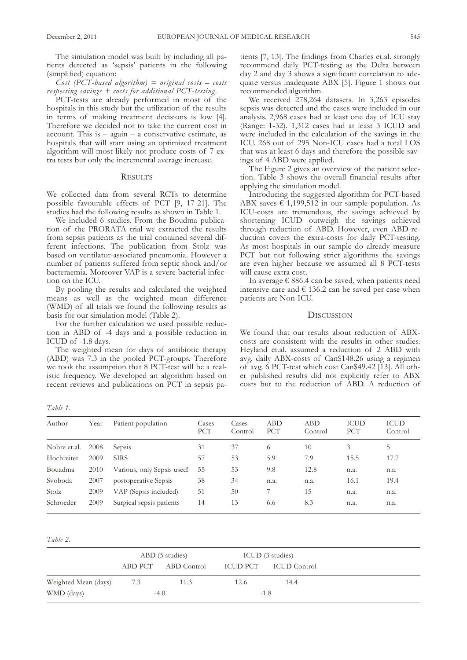The simulation model was built by including all patients detected as 'sepsis' patients in the following (simplified) equation:

*Cost (PCT-based algorithm) = original costs – costs respecting savings + costs for additional PCT-testing.*

PCT-tests are already performed in most of the hospitals in this study but the utilization of the results in terms of making treatment decisions is low [4]. Therefore we decided not to take the current cost in account. This is  $-$  again  $-$  a conservative estimate, as hospitals that will start using an optimized treatment algorithm will most likely not produce costs of 7 extra tests but only the incremental average increase.

### **RESULTS**

We collected data from several RCTs to determine possible favourable effects of PCT [9, 17-21]. The studies had the following results as shown in Table 1.

We included 6 studies. From the Boudma publication of the PRoRaTa trial we extracted the results from sepsis patients as the trial contained several different infections. The publication from stolz was based on ventilator-associated pneumonia. However a number of patients suffered from septic shock and/or bacteraemia. Moreover VAP is a severe bacterial infection on the ICU.

by pooling the results and calculated the weighted means as well as the weighted mean difference (WMD) of all trials we found the following results as basis for our simulation model (Table 2).

for the further calculation we used possible reduction in ABD of -4 days and a possible reduction in ICUD of -1.8 days.

The weighted mean for days of antibiotic therapy (ABD) was 7.3 in the pooled PCT-groups. Therefore we took the assumption that 8 PCT-test will be a realistic frequency. We developed an algorithm based on recent reviews and publications on PCT in sepsis patients [7, 13]. The findings from Charles et.al. strongly recommend daily PCT-testing as the Delta between day 2 and day 3 shows a significant correlation to adequate versus inadequate ABX [5]. Figure 1 shows our recommended algorithm.

We received 278,264 datasets. In 3,263 episodes sepsis was detected and the cases were included in our analysis. 2,968 cases had at least one day of ICU stay (Range: 1-32).  $1,312$  cases had at least 3 ICUD and were included in the calculation of the savings in the ICU. 268 out of 295 Non-ICU cases had a total LOS that was at least 6 days and therefore the possible savings of 4 ABD were applied.

The figure 2 gives an overview of the patient selection. Table 3 shows the overall financial results after applying the simulation model.

Introducing the suggested algorithm for PCT-based ABX saves  $\epsilon$  1,199,512 in our sample population. As ICU-costs are tremendous, the savings achieved by shortening ICUD outweigh the savings achieved through reduction of ABD. However, even ABD-reduction covers the extra-costs for daily PCT-testing. As most hospitals in our sample do already measure PCT but not following strict algorithms the savings are even higher because we assumed all 8 PCT-tests will cause extra cost.

In average  $\epsilon$  886.4 can be saved, when patients need intensive care and  $\epsilon$  136.2 can be saved per case when patients are Non-ICU.

## **DISCUSSION**

We found that our results about reduction of ABXcosts are consistent with the results in other studies. Heyland et.al. assumed a reduction of 2 ABD with avg. daily ABX-costs of Can\$148.26 using a regimen of avg. 6 PCT-test which cost Can\$49.42 [13]. all other published results did not explicitly refer to abX costs but to the reduction of ABD. A reduction of

*Table 1.*

| Author       | Year | Patient population         | Cases<br><b>PCT</b> | Cases<br>Control | <b>ABD</b><br><b>PCT</b> | <b>ABD</b><br>Control | <b>ICUD</b><br><b>PCT</b> | <b>ICUD</b><br>Control |
|--------------|------|----------------------------|---------------------|------------------|--------------------------|-----------------------|---------------------------|------------------------|
| Nobre et.al. | 2008 | Sepsis                     | 31                  | 37               | 6                        | 10                    | 3                         | 5                      |
| Hochreiter   | 2009 | <b>SIRS</b>                | 57                  | 53               | 5.9                      | 7.9                   | 15.5                      | 17.7                   |
| Bouadma      | 2010 | Various, only Sepsis used! | 55                  | 53               | 9.8                      | 12.8                  | n.a.                      | n.a.                   |
| Svoboda      | 2007 | postoperative Sepsis       | 38                  | 34               | n.a.                     | n.a.                  | 16.1                      | 19.4                   |
| Stolz        | 2009 | VAP (Sepsis included)      | 51                  | 50               |                          | 15                    | n.a.                      | n.a.                   |
| Schroeder    | 2009 | Surgical sepsis patients   | 14                  | 13               | 6.6                      | 8.3                   | n.a.                      | n.a.                   |
|              |      |                            |                     |                  |                          |                       |                           |                        |

*Table 2.*

|                      | ABD (5 studies) |                     | ICUD (3 studies) |                       |  |
|----------------------|-----------------|---------------------|------------------|-----------------------|--|
|                      |                 | ABD PCT ABD Control |                  | ICUD PCT ICUD Control |  |
| Weighted Mean (days) | 7.3             | 11.3                | 12.6             | 14.4                  |  |
| WMD (days)           | $-4.0$          |                     | $-1.8$           |                       |  |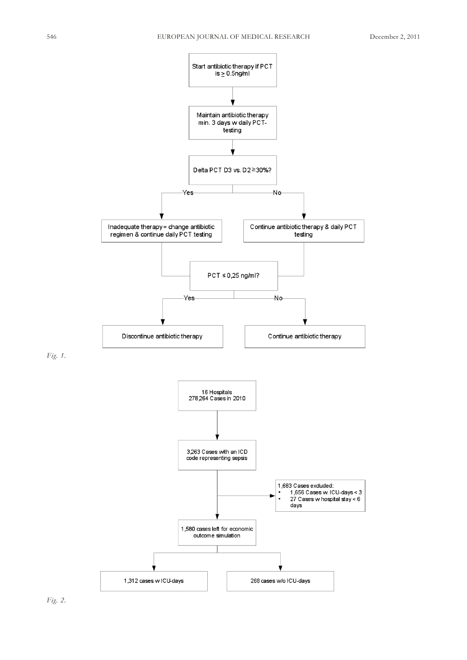

Fig. 2.

Fig. 1.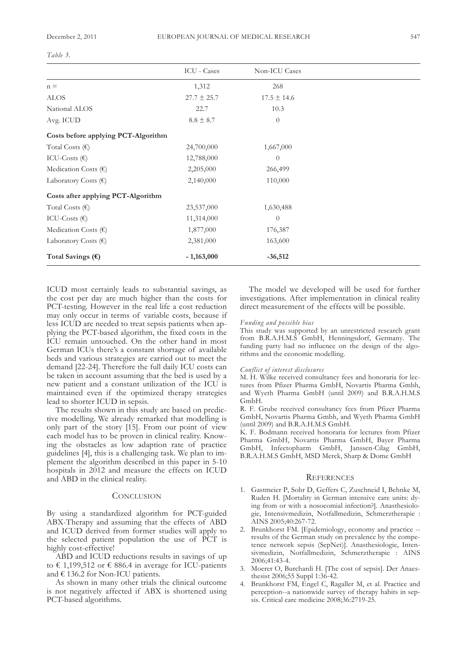| December 2, 2011 | EUROPEAN JOURNAL OF MEDICAL RESEARCH |  |
|------------------|--------------------------------------|--|
|                  |                                      |  |

| $\epsilon$<br>r. |  |
|------------------|--|
|                  |  |

|                                     | ICU - Cases     | Non-ICU Cases   |  |
|-------------------------------------|-----------------|-----------------|--|
| $n =$                               | 1,312           | 268             |  |
| <b>ALOS</b>                         | $27.7 \pm 25.7$ | $17.5 \pm 14.6$ |  |
| National ALOS                       | 22.7            | 10.3            |  |
| Avg. ICUD                           | $8.8 \pm 8.7$   | $\theta$        |  |
| Costs before applying PCT-Algorithm |                 |                 |  |
| Total Costs $(\epsilon)$            | 24,700,000      | 1,667,000       |  |
| ICU-Costs $(\epsilon)$              | 12,788,000      | $\theta$        |  |
| Medication Costs $(\epsilon)$       | 2,205,000       | 266,499         |  |
| Laboratory Costs $(\epsilon)$       | 2,140,000       | 110,000         |  |
| Costs after applying PCT-Algorithm  |                 |                 |  |
| Total Costs $(\epsilon)$            | 23,537,000      | 1,630,488       |  |
| ICU-Costs $(\epsilon)$              | 11,314,000      | $\overline{0}$  |  |
| Medication Costs $(\epsilon)$       | 1,877,000       | 176,387         |  |
| Laboratory Costs $(\epsilon)$       | 2,381,000       | 163,600         |  |
| Total Savings $(\epsilon)$          | $-1,163,000$    | $-36,512$       |  |

ICUD most certainly leads to substantial savings, as the cost per day are much higher than the costs for PCT-testing. However in the real life a cost reduction may only occur in terms of variable costs, because if less ICUD are needed to treat sepsis patients when applying the PCT-based algorithm, the fixed costs in the ICU remain untouched. On the other hand in most German ICUs there's a constant shortage of available beds and various strategies are carried out to meet the demand [22-24]. Therefore the full daily ICU costs can be taken in account assuming that the bed is used by a new patient and a constant utilization of the ICU is maintained even if the optimized therapy strategies lead to shorter ICUD in sepsis.

The results shown in this study are based on predictive modelling. We already remarked that modelling is only part of the story [15]. from our point of view each model has to be proven in clinical reality. Knowing the obstacles as low adaption rate of practice guidelines [4], this is a challenging task. We plan to implement the algorithm described in this paper in 5-10 hospitals in 2012 and measure the effects on ICUD and ABD in the clinical reality.

## **CONCLUSION**

by using a standardized algorithm for PCT-guided ABX-Therapy and assuming that the effects of ABD and ICUD derived from former studies will apply to the selected patient population the use of PCT is highly cost-effective!

ABD and ICUD reductions results in savings of up to € 1,199,512 or € 886.4 in average for ICU-patients and  $\epsilon$  136.2 for Non-ICU patients.

As shown in many other trials the clinical outcome is not negatively affected if abX is shortened using PCT-based algorithms.

The model we developed will be used for further investigations. after implementation in clinical reality direct measurement of the effects will be possible.

#### *Funding and possible bias*

This study was supported by an unrestricted research grant from B.R.A.H.M.S GmbH, Henningsdorf, Germany. The funding party had no influence on the design of the algorithms and the economic modelling.

### *Conflict of interest disclosures*

M. H. Wilke received consultancy fees and honoraria for lectures from Pfizer Pharma GmbH, Novartis Pharma Gmbh, and Wyeth Pharma GmbH (until 2009) and B.R.A.H.M.S GmbH

R. F. Grube received consultancy fees from Pfizer Pharma GmbH, Novartis Pharma Gmbh, and Wyeth Pharma GmbH (until 2009) and B.R.A.H.M.S GmbH.

K. f. bodmann received honoraria for lectures from Pfizer Pharma GmbH, Novartis Pharma GmbH, Bayer Pharma GmbH, Infectopharm GmbH, Janssen-Cilag GmbH, B.R.A.H.M.S GmbH, MSD Merck, Sharp & Dome GmbH

## **REFERENCES**

- 1. Gastmeier P, Sohr D, Geffers C, Zuschneid I, Behnke M, Ruden H. [Mortality in German intensive care units: dying from or with a nosocomial infection?]. Anasthesiologie, Intensivmedizin, Notfallmedizin, Schmerztherapie : aIns 2005;40:267-72.
- 2. brunkhorst fM. [Epidemiology, economy and practice results of the german study on prevalence by the competence network sepsis (SepNet)]. Anasthesiologie, Intensivmedizin, Notfallmedizin, Schmerztherapie : AINS 2006;41:43-4.
- 3. Moerer O, Burchardi H. [The cost of sepsis]. Der Anaesthesist 2006;55 suppl 1:36-42.
- 4. brunkhorst fM, Engel C, Ragaller M, et al. Practice and perception--a nationwide survey of therapy habits in sepsis. Critical care medicine 2008;36:2719-25.